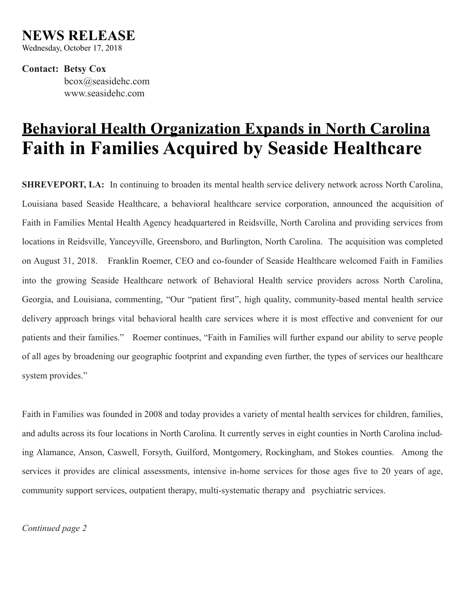## **NEWS RELEASE**

Wednesday, October 17, 2018

**Contact: Betsy Cox** bcox@seasidehc.com www.seasidehc.com

## **Behavioral Health Organization Expands in North Carolina Faith in Families Acquired by Seaside Healthcare**

**SHREVEPORT, LA:** In continuing to broaden its mental health service delivery network across North Carolina, Louisiana based Seaside Healthcare, a behavioral healthcare service corporation, announced the acquisition of Faith in Families Mental Health Agency headquartered in Reidsville, North Carolina and providing services from locations in Reidsville, Yanceyville, Greensboro, and Burlington, North Carolina. The acquisition was completed on August 31, 2018. Franklin Roemer, CEO and co-founder of Seaside Healthcare welcomed Faith in Families into the growing Seaside Healthcare network of Behavioral Health service providers across North Carolina, Georgia, and Louisiana, commenting, "Our "patient first", high quality, community-based mental health service delivery approach brings vital behavioral health care services where it is most effective and convenient for our patients and their families." Roemer continues, "Faith in Families will further expand our ability to serve people of all ages by broadening our geographic footprint and expanding even further, the types of services our healthcare system provides."

Faith in Families was founded in 2008 and today provides a variety of mental health services for children, families, and adults across its four locations in North Carolina. It currently serves in eight counties in North Carolina including Alamance, Anson, Caswell, Forsyth, Guilford, Montgomery, Rockingham, and Stokes counties. Among the services it provides are clinical assessments, intensive in-home services for those ages five to 20 years of age, community support services, outpatient therapy, multi-systematic therapy and psychiatric services.

*Continued page 2*